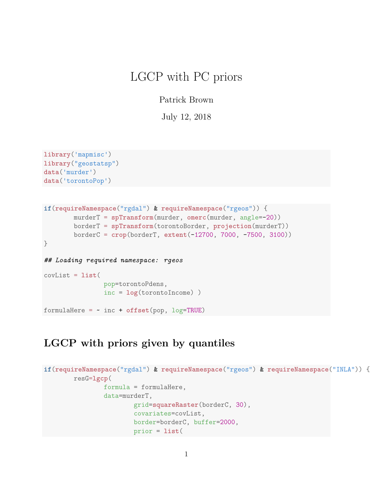# LGCP with PC priors

Patrick Brown

July 12, 2018

```
library('mapmisc')
library("geostatsp")
data('murder')
data('torontoPop')
```

```
if(requireNamespace("rgdal") & requireNamespace("rgeos")) {
       murderT = spTransform(murder, omerc(murder, angle=-20))
       borderT = spTransform(torontoBorder, projection(murderT))
       borderC = crop(borderT, extent(-12700, 7000, -7500, 3100))
}
## Loading required namespace: rgeos
covList = list(
               pop=torontoPdens,
                inc = log(torontoIncome) )
formulaHere = ~ inc + offset(pop, log=TRUE)
```
#### **LGCP with priors given by quantiles**

```
if(requireNamespace("rgdal") & requireNamespace("rgeos") & requireNamespace("INLA")) {
        resG=lgcp(
                formula = formulaHere,
                data=murderT,
                        grid=squareRaster(borderC, 30),
                        covariates=covList,
                        border=borderC, buffer=2000,
                        prior = list(
```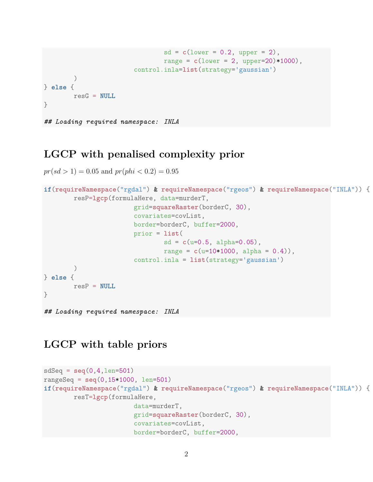```
sd = c(lower = 0.2, upper = 2),range = c(lower = 2, upper=20)*1000,
                        control.inla=list(strategy='gaussian')
        )
} else {
       resG = NULL
}
## Loading required namespace: INLA
```
#### **LGCP with penalised complexity prior**

 $pr(sl > 1) = 0.05$  and  $pr(phi < 0.2) = 0.95$ 

```
if(requireNamespace("rgdal") & requireNamespace("rgeos") & requireNamespace("INLA")) {
        resP=lgcp(formulaHere, data=murderT,
                        grid=squareRaster(borderC, 30),
                        covariates=covList,
                        border=borderC, buffer=2000,
                        prior = list(
                                sd = c(u=0.5, alpha=0.05),
                                range = c(u=10*1000, alpha = 0.4),
                        control.inla = list(strategy='gaussian')
        )
} else {
       resP = NULL
}
```

```
## Loading required namespace: INLA
```
#### **LGCP with table priors**

```
sdSeq = seq(0,4,len=501)
rangeSeq = seq(0,15*1000, len=501)
if(requireNamespace("rgdal") & requireNamespace("rgeos") & requireNamespace("INLA")) {
        resT=lgcp(formulaHere,
                        data=murderT,
                        grid=squareRaster(borderC, 30),
                        covariates=covList,
                        border=borderC, buffer=2000,
```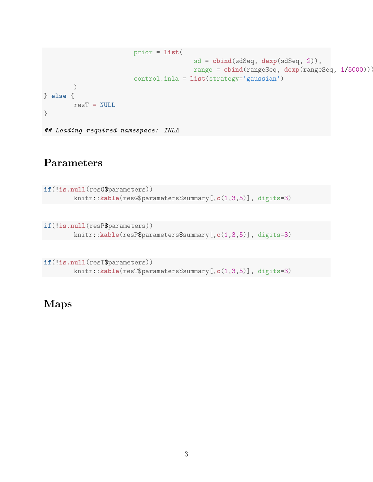```
prior = list(
                                        sd = cbind(sdSeq, dexp(sdSeq, 2)),
                                        range = cbind(rangeSeq, dexp(rangeSeq, 1/5000))),
                        control.inla = list(strategy='gaussian')
        )
} else {
       resT = NULL
}
## Loading required namespace: INLA
```
## **Parameters**

```
if(!is.null(resG$parameters))
       knitr::kable(resG$parameters$summary[,c(1,3,5)], digits=3)
```

```
if(!is.null(resP$parameters))
        knitr::kable(resP$parameters$summary[,c(1,3,5)], digits=3)
```

```
if(!is.null(resT$parameters))
        knitr::kable(resT$parameters$summary[,c(1,3,5)], digits=3)
```
### **Maps**